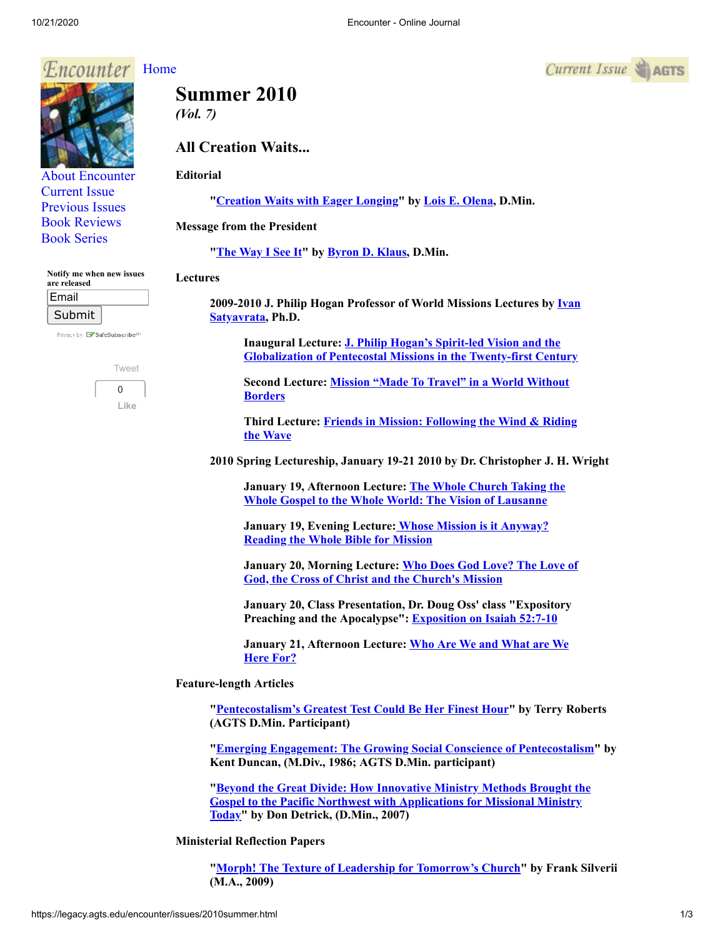#### 10/21/2020 Encounter - Online Journal

#### Encounter [Home](http://legacy.agts.edu/encounter/index.htm)

[About Encounter](http://legacy.agts.edu/encounter/about.html) [Current Issue](http://legacy.agts.edu/encounter/current.html) [Previous Issues](http://legacy.agts.edu/encounter/previous.html) [Book Reviews](http://legacy.agts.edu/encounter/book_reviews.html) [Book Series](http://legacy.agts.edu/encounter/resources.html)

**Notify me when new issues**

Privacy by **EV** SafeSubscribe<sup>st</sup>

[Tweet](https://twitter.com/intent/tweet?original_referer=https%3A%2F%2Flegacy.agts.edu%2F&ref_src=twsrc%5Etfw&related=anywhereTheJavascriptAPI&text=Encounter%20-%20Online%20Journal&tw_p=tweetbutton&url=http%3A%2F%2Flegacy.agts.edu%2Fencounter%2Fbook_reviews%2F2012summer%2Freview_au.html&via=AGTSTweets)  $\Omega$ **Like**

**are released** Email Submit

# **Summer 2010**

*(Vol. 7)*

# **All Creation Waits...**

# **Editorial**

**"[Creation Waits with Eager Longing"](https://legacy.agts.edu/encounter/articles/2010summer/editorial.htm) by [Lois E. Olena](http://legacy.agts.edu/faculty/olena.html), D.Min.**

### **Message from the President**

**"[The Way I See It](https://legacy.agts.edu/encounter/articles/2010summer/klaus.htm)" by [Byron D. Klaus](http://legacy.agts.edu/faculty/klaus.html), D.Min.**

#### **Lectures**

**[2009-2010 J. Philip Hogan Professor of World Missions Lectures by](https://legacy.agts.edu/faculty/satyavrata.html) Ivan Satyavrata, Ph.D.**

> **Inaugural Lecture: J. Philip Hogan's Spirit-led Vision and the [Globalization of Pentecostal Missions in the Twenty-first Century](https://legacy.agts.edu/encounter/articles/2010summer/satyavrata1.htm)**

**[Second Lecture: Mission "Made To Travel" in a World Without](https://legacy.agts.edu/encounter/articles/2010summer/satyavrata2.htm) Borders**

**[Third Lecture: Friends in Mission: Following the Wind & Riding](https://legacy.agts.edu/encounter/articles/2010summer/satyavrata3.htm) the Wave**

**2010 Spring Lectureship, January 19-21 2010 by Dr. Christopher J. H. Wright**

**[January 19, Afternoon Lecture: The Whole Church Taking the](https://legacy.agts.edu/encounter/articles/2010summer/wright1.htm) Whole Gospel to the Whole World: The Vision of Lausanne**

**[January 19, Evening Lecture: Whose Mission is it Anyway?](https://legacy.agts.edu/encounter/articles/2010summer/wright2.htm) Reading the Whole Bible for Mission**

**[January 20, Morning Lecture: Who Does God Love? The Love of](https://legacy.agts.edu/encounter/articles/2010summer/wright3.htm) God, the Cross of Christ and the Church's Mission**

**January 20, Class Presentation, Dr. Doug Oss' class "Expository Preaching and the Apocalypse": [Exposition on Isaiah 52:7-10](https://legacy.agts.edu/encounter/articles/2010summer/wright4.htm)**

**[January 21, Afternoon Lecture: Who Are We and What are We](https://legacy.agts.edu/encounter/articles/2010summer/wright5.htm) Here For?**

## **Feature-length Articles**

**"[Pentecostalism's Greatest Test Could Be Her Finest Hour"](https://legacy.agts.edu/encounter/articles/2010summer/roberts.htm) by Terry Roberts (AGTS D.Min. Participant)**

**"[Emerging Engagement: The Growing Social Conscience of Pentecostalism](https://legacy.agts.edu/encounter/articles/2010summer/duncan.htm)" by Kent Duncan, (M.Div., 1986; AGTS D.Min. participant)**

**["Beyond the Great Divide: How Innovative Ministry Methods Brought the](https://legacy.agts.edu/encounter/articles/2010summer/detrick.htm) Gospel to the Pacific Northwest with Applications for Missional Ministry Today" by Don Detrick, (D.Min., 2007)**

**Ministerial Reflection Papers**

**"[Morph! The Texture of Leadership for Tomorrow's Church"](https://legacy.agts.edu/encounter/articles/2010summer/silverii.htm) by Frank Silverii (M.A., 2009)**

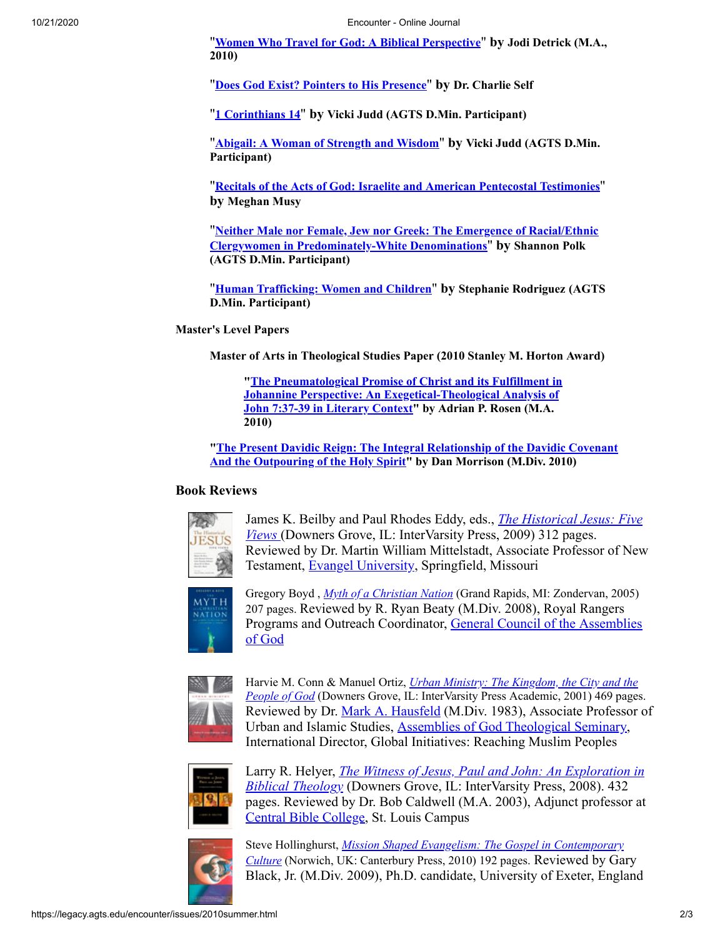"**[Women Who Travel for God: A Biblical Perspective](https://legacy.agts.edu/encounter/articles/2010summer/detrick_jodi.htm)**" **by Jodi Detrick (M.A., 2010)**

"**[Does God Exist? Pointers to His Presence](https://legacy.agts.edu/encounter/articles/2010summer/self.htm)**" **by Dr. Charlie Self**

"**[1 Corinthians 14](https://legacy.agts.edu/encounter/articles/2010summer/judd1.htm)**" **by Vicki Judd (AGTS D.Min. Participant)**

"**[Abigail: A Woman of Strength and Wisdom](https://legacy.agts.edu/encounter/articles/2010summer/judd2.htm)**" **by Vicki Judd (AGTS D.Min. Participant)**

"**[Recitals of the Acts of God: Israelite and American Pentecostal Testimonies](https://legacy.agts.edu/encounter/articles/2010summer/musy.htm)**" **by Meghan Musy**

"**[Neither Male nor Female, Jew nor Greek: The Emergence of Racial/Ethnic](https://legacy.agts.edu/encounter/articles/2010summer/polk.htm) Clergywomen in Predominately-White Denominations**" **by Shannon Polk (AGTS D.Min. Participant)**

"**[Human Trafficking: Women and Children](https://legacy.agts.edu/encounter/articles/2010summer/rodriguez.htm)**" **by Stephanie Rodriguez (AGTS D.Min. Participant)**

### **Master's Level Papers**

**Master of Arts in Theological Studies Paper (2010 Stanley M. Horton Award)**

**["The Pneumatological Promise of Christ and its Fulfillment in](https://legacy.agts.edu/encounter/articles/2010summer/rosen.htm) Johannine Perspective: An Exegetical-Theological Analysis of John 7:37-39 in Literary Context" by Adrian P. Rosen (M.A. 2010)**

**["The Present Davidic Reign: The Integral Relationship of the Davidic Covenant](https://legacy.agts.edu/encounter/articles/2010summer/morrison.htm) And the Outpouring of the Holy Spirit" by Dan Morrison (M.Div. 2010)**

# **Book Reviews**



James K. Beilby and Paul Rhodes Eddy, eds., *The Historical Jesus: Five Views* [\(Downers Grove, IL: InterVarsity Press, 2009\) 312 pages.](https://legacy.agts.edu/encounter/book_reviews/2010summer/review_mittelstadt.html) Reviewed by Dr. Martin William Mittelstadt, Associate Professor of New Testament, [Evangel University](http://www.evangel.edu/), Springfield, Missouri



Gregory Boyd , *[Myth of a Christian Nation](https://legacy.agts.edu/encounter/book_reviews/2010summer/review_beaty.html)* (Grand Rapids, MI: Zondervan, 2005) 207 pages. Reviewed by R. Ryan Beaty (M.Div. 2008), Royal Rangers [Programs and Outreach Coordinator, General Council of the Assemblies](http://www.ag.org/) of God



Harvie M. Conn & Manuel Ortiz, *Urban Ministry: The Kingdom, the City and the People of God* [\(Downers Grove, IL: InterVarsity Press Academic, 2001\) 469 page](https://legacy.agts.edu/encounter/book_reviews/2010summer/review_hausfeld.html)s. Reviewed by Dr. [Mark A. Hausfeld](http://legacy.agts.edu/faculty/hausfeld.html) (M.Div. 1983), Associate Professor of Urban and Islamic Studies, [Assemblies of God Theological Seminary,](http://legacy.agts.edu/) International Director, Global Initiatives: Reaching Muslim Peoples



Larry R. Helyer, *[The Witness of Jesus, Paul and John: An Exploration in](https://legacy.agts.edu/encounter/book_reviews/2010summer/review_caldwell.html) Biblical Theology* (Downers Grove, IL: InterVarsity Press, 2008). 432 pages. Reviewed by Dr. Bob Caldwell (M.A. 2003), Adjunct professor at [Central Bible College,](http://www.cbcag.edu/) St. Louis Campus



Steve Hollinghurst, *[Mission Shaped Evangelism: The Gospel in Contemporary](https://legacy.agts.edu/encounter/book_reviews/2010summer/review_black.html) Culture* (Norwich, UK: Canterbury Press, 2010) 192 pages. Reviewed by Gary Black, Jr. (M.Div. 2009), Ph.D. candidate, University of Exeter, England